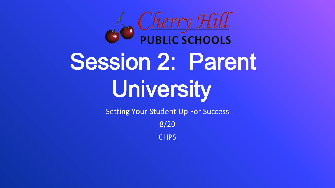

# Session 2: Parent University

Setting Your Student Up For Success

8/20

**CHPS**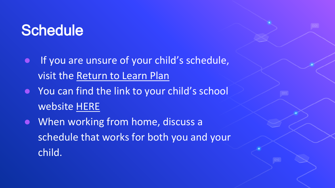#### **Schedule**

- If you are unsure of your child's schedule, visit the [Return to Learn Plan](https://www.chclc.org/Page/2131)
- You can find the link to your child's school website [HERE](https://www.chclc.org/domain/1223)
- When working from home, discuss a schedule that works for both you and your child.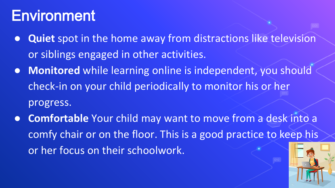#### **Environment**

- **Quiet** spot in the home away from distractions like television or siblings engaged in other activities.
- **Monitored** while learning online is independent, you should check-in on your child periodically to monitor his or her progress.
- **Comfortable** Your child may want to move from a desk into a comfy chair or on the floor. This is a good practice to keep his or her focus on their schoolwork.

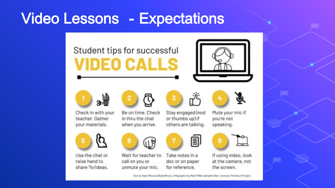#### Video Lessons - Expectations

#### Student tips for successful **VIDEO CALLS**













Mute your mic if

you're not

speaking.



Use the chat or

share?s/ideas.

raise hand to

Be on time, Check in thru the chat when you arrive.

Stay engaged (nod or thumbs up) if others are talking.







Take notes in a doc or on paper for reference.





If using video, look at the camera, not the screen.

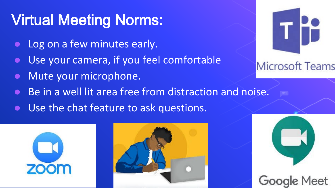## Virtual Meeting Norms:

- Log on a few minutes early.
- Use your camera, if you feel comfortable
- Mute your microphone.
- Be in a well lit area free from distraction and noise.
- Use the chat feature to ask questions.







**Microsoft Teams**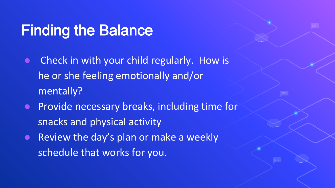### Finding the Balance

- Check in with your child regularly. How is he or she feeling emotionally and/or mentally?
- Provide necessary breaks, including time for snacks and physical activity
- Review the day's plan or make a weekly schedule that works for you.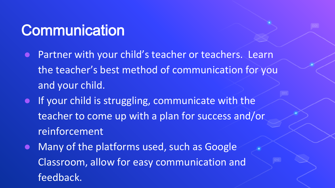#### **Communication**

- **DED Partner with your child's teacher or teachers. Learn** the teacher's best method of communication for you and your child.
- If your child is struggling, communicate with the teacher to come up with a plan for success and/or reinforcement
- Many of the platforms used, such as Google Classroom, allow for easy communication and feedback.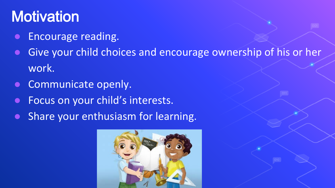#### **Motivation**

- Encourage reading.
- Give your child choices and encourage ownership of his or her work.
- Communicate openly.
- Focus on your child's interests.
- Share your enthusiasm for learning.

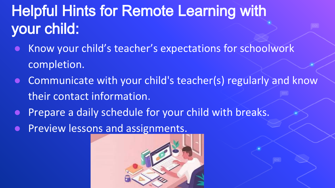# Helpful Hints for Remote Learning with your child:

- Know your child's teacher's expectations for schoolwork completion.
- $\bullet$  Communicate with your child's teacher(s) regularly and know their contact information.
- Prepare a daily schedule for your child with breaks.
- Preview lessons and assignments.

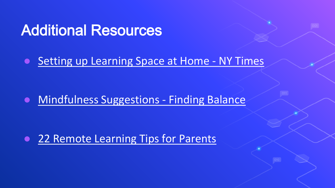#### Additional Resources

#### ● [Setting up Learning Space at Home -](https://www.nytimes.com/wirecutter/blog/remote-learning-space-set-up/) NY Times

● [Mindfulness Suggestions -](http://thecorecoaches.com/2020/03/mindfulness-at-home-distance-learning/) Finding Balance

● [22 Remote Learning Tips for Parents](https://www.teachthought.com/technology/remote-learning-tips-for-parents/)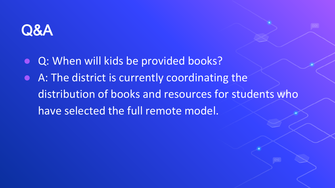

- Q: When will kids be provided books?
- A: The district is currently coordinating the distribution of books and resources for students who have selected the full remote model.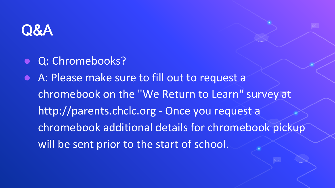

- Q: Chromebooks?
- A: Please make sure to fill out to request a chromebook on the "We Return to Learn" survey at http://parents.chclc.org - Once you request a chromebook additional details for chromebook pickup will be sent prior to the start of school.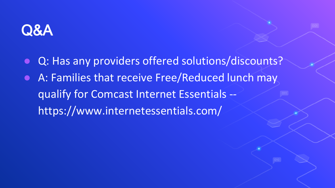

- Q: Has any providers offered solutions/discounts?
- A: Families that receive Free/Reduced lunch may qualify for Comcast Internet Essentials - https://www.internetessentials.com/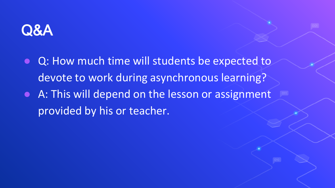

- Q: How much time will students be expected to devote to work during asynchronous learning?
- A: This will depend on the lesson or assignment provided by his or teacher.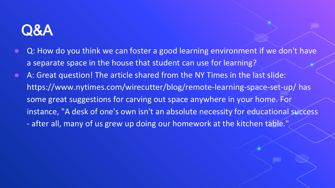- Q: How do you think we can foster a good learning environment if we don't have a separate space in the house that student can use for learning?
- A: Great question! The article shared from the NY Times in the last slide: https://www.nytimes.com/wirecutter/blog/remote-learning-space-set-up/ has some great suggestions for carving out space anywhere in your home. For instance, "A desk of one's own isn't an absolute necessity for educational success - after all, many of us grew up doing our homework at the kitchen table."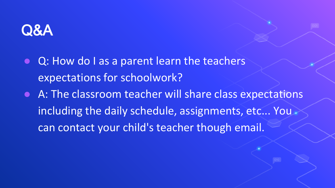

- Q: How do I as a parent learn the teachers expectations for schoolwork?
- A: The classroom teacher will share class expectations including the daily schedule, assignments, etc... You can contact your child's teacher though email.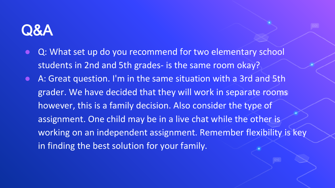- Q: What set up do you recommend for two elementary school students in 2nd and 5th grades- is the same room okay?
- A: Great question. I'm in the same situation with a 3rd and 5th grader. We have decided that they will work in separate rooms however, this is a family decision. Also consider the type of assignment. One child may be in a live chat while the other is working on an independent assignment. Remember flexibility is key in finding the best solution for your family.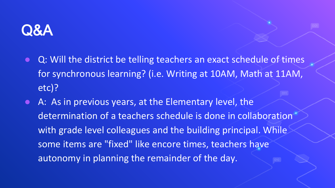

- Q: Will the district be telling teachers an exact schedule of times for synchronous learning? (i.e. Writing at 10AM, Math at 11AM, etc)?
- A: As in previous years, at the Elementary level, the determination of a teachers schedule is done in collaboration with grade level colleagues and the building principal. While some items are "fixed" like encore times, teachers have autonomy in planning the remainder of the day.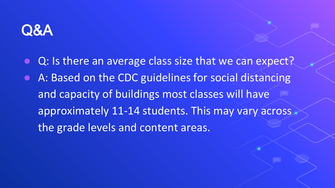

- Q: Is there an average class size that we can expect?
- A: Based on the CDC guidelines for social distancing and capacity of buildings most classes will have approximately 11-14 students. This may vary across the grade levels and content areas.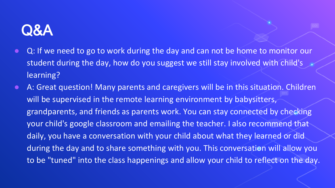- Q: If we need to go to work during the day and can not be home to monitor our student during the day, how do you suggest we still stay involved with child's learning?
- A: Great question! Many parents and caregivers will be in this situation. Children will be supervised in the remote learning environment by babysitters, grandparents, and friends as parents work. You can stay connected by checking your child's google classroom and emailing the teacher. I also recommend that daily, you have a conversation with your child about what they learned or did during the day and to share something with you. This conversation will allow you to be "tuned" into the class happenings and allow your child to reflect on the day.